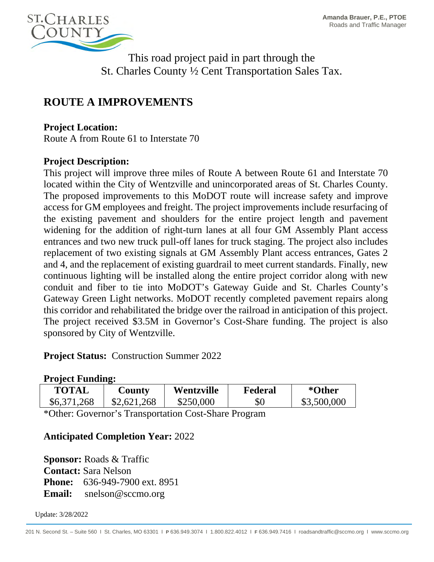

This road project paid in part through the St. Charles County ½ Cent Transportation Sales Tax.

# **ROUTE A IMPROVEMENTS**

### **Project Location:**

Route A from Route 61 to Interstate 70

#### **Project Description:**

This project will improve three miles of Route A between Route 61 and Interstate 70 located within the City of Wentzville and unincorporated areas of St. Charles County. The proposed improvements to this MoDOT route will increase safety and improve access for GM employees and freight. The project improvements include resurfacing of the existing pavement and shoulders for the entire project length and pavement widening for the addition of right-turn lanes at all four GM Assembly Plant access entrances and two new truck pull-off lanes for truck staging. The project also includes replacement of two existing signals at GM Assembly Plant access entrances, Gates 2 and 4, and the replacement of existing guardrail to meet current standards. Finally, new continuous lighting will be installed along the entire project corridor along with new conduit and fiber to tie into MoDOT's Gateway Guide and St. Charles County's Gateway Green Light networks. MoDOT recently completed pavement repairs along this corridor and rehabilitated the bridge over the railroad in anticipation of this project. The project received \$3.5M in Governor's Cost-Share funding. The project is also sponsored by City of Wentzville.

**Project Status:** Construction Summer 2022

#### **Project Funding:**

| TOTAL       | <b>County</b> | Wentzville | Federal | *Other      |
|-------------|---------------|------------|---------|-------------|
| \$6,371,268 | \$2,621,268   | \$250,000  | \$0     | \$3,500,000 |

\*Other: Governor's Transportation Cost-Share Program

## **Anticipated Completion Year:** 2022

**Sponsor:** Roads & Traffic **Contact:** Sara Nelson **Phone:** 636-949-7900 ext. 8951 **Email:** snelson@sccmo.org

Update: 3/28/2022